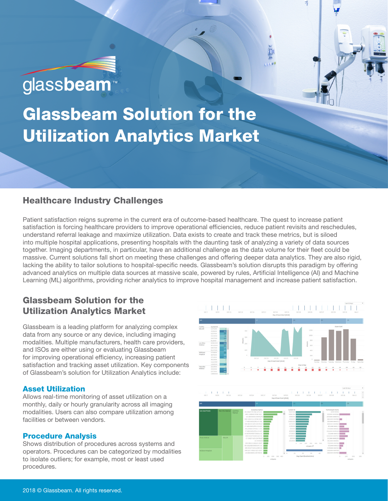# glassbeam<sup>™</sup>

Glassbeam Solution for the Utilization Analytics Market

## Healthcare Industry Challenges

Patient satisfaction reigns supreme in the current era of outcome-based healthcare. The quest to increase patient satisfaction is forcing healthcare providers to improve operational efficiencies, reduce patient revisits and reschedules, understand referral leakage and maximize utilization. Data exists to create and track these metrics, but is siloed into multiple hospital applications, presenting hospitals with the daunting task of analyzing a variety of data sources together. Imaging departments, in particular, have an additional challenge as the data volume for their fleet could be massive. Current solutions fall short on meeting these challenges and offering deeper data analytics. They are also rigid, lacking the ability to tailor solutions to hospital-specific needs. Glassbeam's solution disrupts this paradigm by offering advanced analytics on multiple data sources at massive scale, powered by rules, Artificial Intelligence (AI) and Machine Learning (ML) algorithms, providing richer analytics to improve hospital management and increase patient satisfaction.

## Glassbeam Solution for the Utilization Analytics Market

Glassbeam is a leading platform for analyzing complex data from any source or any device, including imaging modalities. Multiple manufacturers, health care providers, and ISOs are either using or evaluating Glassbeam for improving operational efficiency, increasing patient satisfaction and tracking asset utilization. Key components of Glassbeam's solution for Utilization Analytics include:

## Asset Utilization

Allows real-time monitoring of asset utilization on a monthly, daily or hourly granularity across all imaging modalities. Users can also compare utilization among facilities or between vendors.

## Procedure Analysis

Shows distribution of procedures across systems and operators. Procedures can be categorized by modalities to isolate outliers; for example, most or least used procedures.